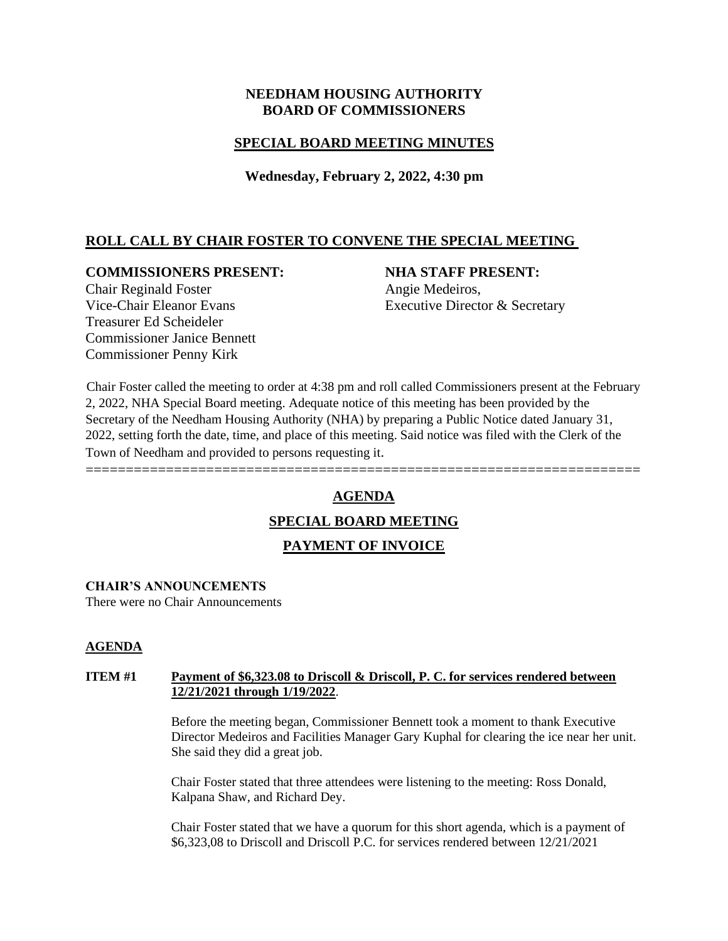# **NEEDHAM HOUSING AUTHORITY BOARD OF COMMISSIONERS**

# **SPECIAL BOARD MEETING MINUTES**

**Wednesday, February 2, 2022, 4:30 pm**

# **ROLL CALL BY CHAIR FOSTER TO CONVENE THE SPECIAL MEETING**

### **COMMISSIONERS PRESENT: NHA STAFF PRESENT:**

Vice-Chair Eleanor Evans Executive Director & Secretary

Chair Reginald Foster **Angie Medeiros**, Treasurer Ed Scheideler Commissioner Janice Bennett Commissioner Penny Kirk

Chair Foster called the meeting to order at 4:38 pm and roll called Commissioners present at the February 2, 2022, NHA Special Board meeting. Adequate notice of this meeting has been provided by the Secretary of the Needham Housing Authority (NHA) by preparing a Public Notice dated January 31, 2022, setting forth the date, time, and place of this meeting. Said notice was filed with the Clerk of the Town of Needham and provided to persons requesting it.

# **AGENDA**

=====================================================================

# **SPECIAL BOARD MEETING**

# **PAYMENT OF INVOICE**

#### **CHAIR'S ANNOUNCEMENTS**

There were no Chair Announcements

#### **AGENDA**

#### **ITEM #1 Payment of \$6,323.08 to Driscoll & Driscoll, P. C. for services rendered between 12/21/2021 through 1/19/2022**.

Before the meeting began, Commissioner Bennett took a moment to thank Executive Director Medeiros and Facilities Manager Gary Kuphal for clearing the ice near her unit. She said they did a great job.

Chair Foster stated that three attendees were listening to the meeting: Ross Donald, Kalpana Shaw, and Richard Dey.

Chair Foster stated that we have a quorum for this short agenda, which is a payment of \$6,323,08 to Driscoll and Driscoll P.C. for services rendered between 12/21/2021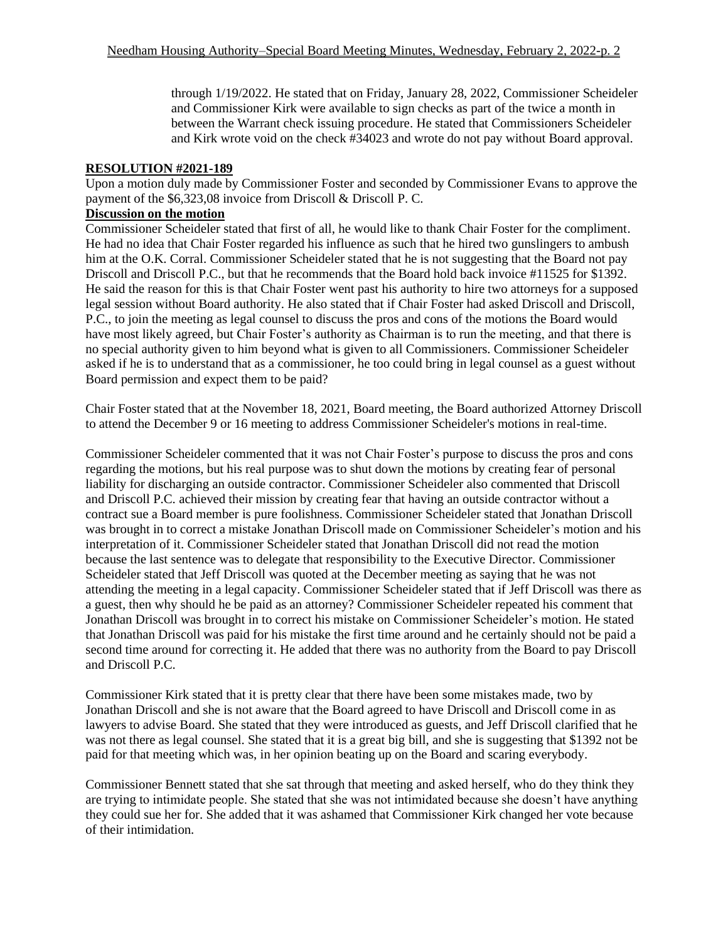through 1/19/2022. He stated that on Friday, January 28, 2022, Commissioner Scheideler and Commissioner Kirk were available to sign checks as part of the twice a month in between the Warrant check issuing procedure. He stated that Commissioners Scheideler and Kirk wrote void on the check #34023 and wrote do not pay without Board approval.

#### **RESOLUTION #2021-189**

Upon a motion duly made by Commissioner Foster and seconded by Commissioner Evans to approve the payment of the \$6,323,08 invoice from Driscoll & Driscoll P. C.

# **Discussion on the motion**

Commissioner Scheideler stated that first of all, he would like to thank Chair Foster for the compliment. He had no idea that Chair Foster regarded his influence as such that he hired two gunslingers to ambush him at the O.K. Corral. Commissioner Scheideler stated that he is not suggesting that the Board not pay Driscoll and Driscoll P.C., but that he recommends that the Board hold back invoice #11525 for \$1392. He said the reason for this is that Chair Foster went past his authority to hire two attorneys for a supposed legal session without Board authority. He also stated that if Chair Foster had asked Driscoll and Driscoll, P.C., to join the meeting as legal counsel to discuss the pros and cons of the motions the Board would have most likely agreed, but Chair Foster's authority as Chairman is to run the meeting, and that there is no special authority given to him beyond what is given to all Commissioners. Commissioner Scheideler asked if he is to understand that as a commissioner, he too could bring in legal counsel as a guest without Board permission and expect them to be paid?

Chair Foster stated that at the November 18, 2021, Board meeting, the Board authorized Attorney Driscoll to attend the December 9 or 16 meeting to address Commissioner Scheideler's motions in real-time.

Commissioner Scheideler commented that it was not Chair Foster's purpose to discuss the pros and cons regarding the motions, but his real purpose was to shut down the motions by creating fear of personal liability for discharging an outside contractor. Commissioner Scheideler also commented that Driscoll and Driscoll P.C. achieved their mission by creating fear that having an outside contractor without a contract sue a Board member is pure foolishness. Commissioner Scheideler stated that Jonathan Driscoll was brought in to correct a mistake Jonathan Driscoll made on Commissioner Scheideler's motion and his interpretation of it. Commissioner Scheideler stated that Jonathan Driscoll did not read the motion because the last sentence was to delegate that responsibility to the Executive Director. Commissioner Scheideler stated that Jeff Driscoll was quoted at the December meeting as saying that he was not attending the meeting in a legal capacity. Commissioner Scheideler stated that if Jeff Driscoll was there as a guest, then why should he be paid as an attorney? Commissioner Scheideler repeated his comment that Jonathan Driscoll was brought in to correct his mistake on Commissioner Scheideler's motion. He stated that Jonathan Driscoll was paid for his mistake the first time around and he certainly should not be paid a second time around for correcting it. He added that there was no authority from the Board to pay Driscoll and Driscoll P.C.

Commissioner Kirk stated that it is pretty clear that there have been some mistakes made, two by Jonathan Driscoll and she is not aware that the Board agreed to have Driscoll and Driscoll come in as lawyers to advise Board. She stated that they were introduced as guests, and Jeff Driscoll clarified that he was not there as legal counsel. She stated that it is a great big bill, and she is suggesting that \$1392 not be paid for that meeting which was, in her opinion beating up on the Board and scaring everybody.

Commissioner Bennett stated that she sat through that meeting and asked herself, who do they think they are trying to intimidate people. She stated that she was not intimidated because she doesn't have anything they could sue her for. She added that it was ashamed that Commissioner Kirk changed her vote because of their intimidation.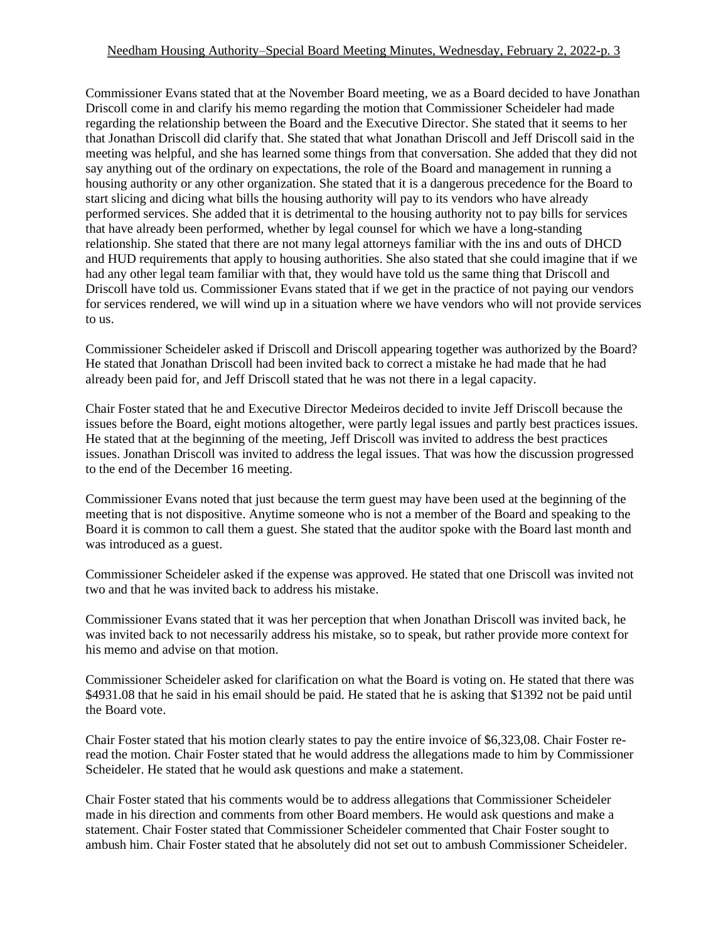Commissioner Evans stated that at the November Board meeting, we as a Board decided to have Jonathan Driscoll come in and clarify his memo regarding the motion that Commissioner Scheideler had made regarding the relationship between the Board and the Executive Director. She stated that it seems to her that Jonathan Driscoll did clarify that. She stated that what Jonathan Driscoll and Jeff Driscoll said in the meeting was helpful, and she has learned some things from that conversation. She added that they did not say anything out of the ordinary on expectations, the role of the Board and management in running a housing authority or any other organization. She stated that it is a dangerous precedence for the Board to start slicing and dicing what bills the housing authority will pay to its vendors who have already performed services. She added that it is detrimental to the housing authority not to pay bills for services that have already been performed, whether by legal counsel for which we have a long-standing relationship. She stated that there are not many legal attorneys familiar with the ins and outs of DHCD and HUD requirements that apply to housing authorities. She also stated that she could imagine that if we had any other legal team familiar with that, they would have told us the same thing that Driscoll and Driscoll have told us. Commissioner Evans stated that if we get in the practice of not paying our vendors for services rendered, we will wind up in a situation where we have vendors who will not provide services to us.

Commissioner Scheideler asked if Driscoll and Driscoll appearing together was authorized by the Board? He stated that Jonathan Driscoll had been invited back to correct a mistake he had made that he had already been paid for, and Jeff Driscoll stated that he was not there in a legal capacity.

Chair Foster stated that he and Executive Director Medeiros decided to invite Jeff Driscoll because the issues before the Board, eight motions altogether, were partly legal issues and partly best practices issues. He stated that at the beginning of the meeting, Jeff Driscoll was invited to address the best practices issues. Jonathan Driscoll was invited to address the legal issues. That was how the discussion progressed to the end of the December 16 meeting.

Commissioner Evans noted that just because the term guest may have been used at the beginning of the meeting that is not dispositive. Anytime someone who is not a member of the Board and speaking to the Board it is common to call them a guest. She stated that the auditor spoke with the Board last month and was introduced as a guest.

Commissioner Scheideler asked if the expense was approved. He stated that one Driscoll was invited not two and that he was invited back to address his mistake.

Commissioner Evans stated that it was her perception that when Jonathan Driscoll was invited back, he was invited back to not necessarily address his mistake, so to speak, but rather provide more context for his memo and advise on that motion.

Commissioner Scheideler asked for clarification on what the Board is voting on. He stated that there was \$4931.08 that he said in his email should be paid. He stated that he is asking that \$1392 not be paid until the Board vote.

Chair Foster stated that his motion clearly states to pay the entire invoice of \$6,323,08. Chair Foster reread the motion. Chair Foster stated that he would address the allegations made to him by Commissioner Scheideler. He stated that he would ask questions and make a statement.

Chair Foster stated that his comments would be to address allegations that Commissioner Scheideler made in his direction and comments from other Board members. He would ask questions and make a statement. Chair Foster stated that Commissioner Scheideler commented that Chair Foster sought to ambush him. Chair Foster stated that he absolutely did not set out to ambush Commissioner Scheideler.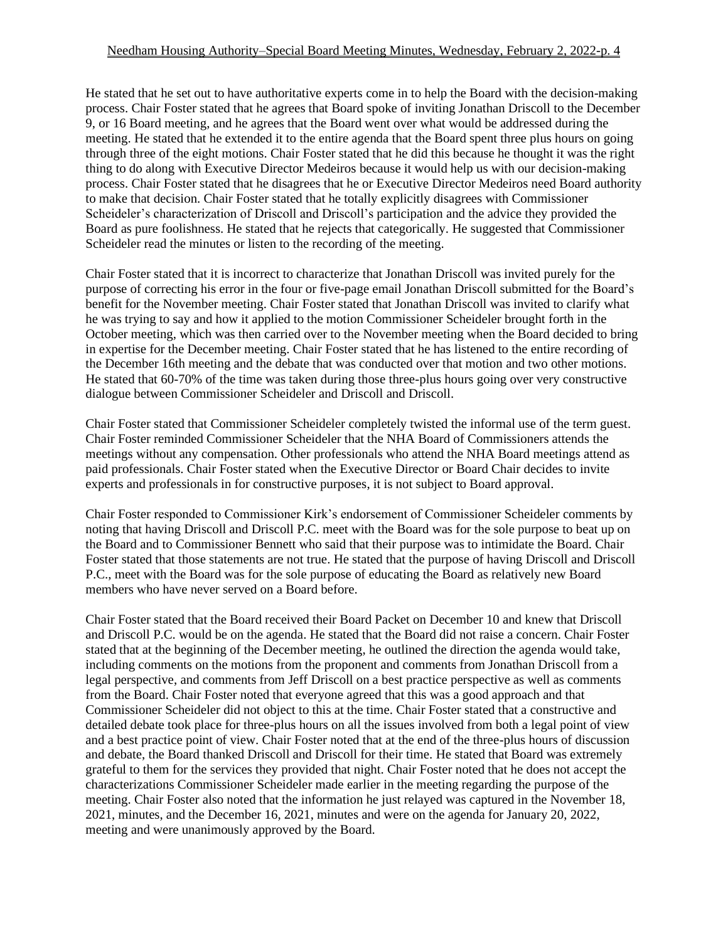#### Needham Housing Authority–Special Board Meeting Minutes, Wednesday, February 2, 2022-p. 4

He stated that he set out to have authoritative experts come in to help the Board with the decision-making process. Chair Foster stated that he agrees that Board spoke of inviting Jonathan Driscoll to the December 9, or 16 Board meeting, and he agrees that the Board went over what would be addressed during the meeting. He stated that he extended it to the entire agenda that the Board spent three plus hours on going through three of the eight motions. Chair Foster stated that he did this because he thought it was the right thing to do along with Executive Director Medeiros because it would help us with our decision-making process. Chair Foster stated that he disagrees that he or Executive Director Medeiros need Board authority to make that decision. Chair Foster stated that he totally explicitly disagrees with Commissioner Scheideler's characterization of Driscoll and Driscoll's participation and the advice they provided the Board as pure foolishness. He stated that he rejects that categorically. He suggested that Commissioner Scheideler read the minutes or listen to the recording of the meeting.

Chair Foster stated that it is incorrect to characterize that Jonathan Driscoll was invited purely for the purpose of correcting his error in the four or five-page email Jonathan Driscoll submitted for the Board's benefit for the November meeting. Chair Foster stated that Jonathan Driscoll was invited to clarify what he was trying to say and how it applied to the motion Commissioner Scheideler brought forth in the October meeting, which was then carried over to the November meeting when the Board decided to bring in expertise for the December meeting. Chair Foster stated that he has listened to the entire recording of the December 16th meeting and the debate that was conducted over that motion and two other motions. He stated that 60-70% of the time was taken during those three-plus hours going over very constructive dialogue between Commissioner Scheideler and Driscoll and Driscoll.

Chair Foster stated that Commissioner Scheideler completely twisted the informal use of the term guest. Chair Foster reminded Commissioner Scheideler that the NHA Board of Commissioners attends the meetings without any compensation. Other professionals who attend the NHA Board meetings attend as paid professionals. Chair Foster stated when the Executive Director or Board Chair decides to invite experts and professionals in for constructive purposes, it is not subject to Board approval.

Chair Foster responded to Commissioner Kirk's endorsement of Commissioner Scheideler comments by noting that having Driscoll and Driscoll P.C. meet with the Board was for the sole purpose to beat up on the Board and to Commissioner Bennett who said that their purpose was to intimidate the Board. Chair Foster stated that those statements are not true. He stated that the purpose of having Driscoll and Driscoll P.C., meet with the Board was for the sole purpose of educating the Board as relatively new Board members who have never served on a Board before.

Chair Foster stated that the Board received their Board Packet on December 10 and knew that Driscoll and Driscoll P.C. would be on the agenda. He stated that the Board did not raise a concern. Chair Foster stated that at the beginning of the December meeting, he outlined the direction the agenda would take, including comments on the motions from the proponent and comments from Jonathan Driscoll from a legal perspective, and comments from Jeff Driscoll on a best practice perspective as well as comments from the Board. Chair Foster noted that everyone agreed that this was a good approach and that Commissioner Scheideler did not object to this at the time. Chair Foster stated that a constructive and detailed debate took place for three-plus hours on all the issues involved from both a legal point of view and a best practice point of view. Chair Foster noted that at the end of the three-plus hours of discussion and debate, the Board thanked Driscoll and Driscoll for their time. He stated that Board was extremely grateful to them for the services they provided that night. Chair Foster noted that he does not accept the characterizations Commissioner Scheideler made earlier in the meeting regarding the purpose of the meeting. Chair Foster also noted that the information he just relayed was captured in the November 18, 2021, minutes, and the December 16, 2021, minutes and were on the agenda for January 20, 2022, meeting and were unanimously approved by the Board.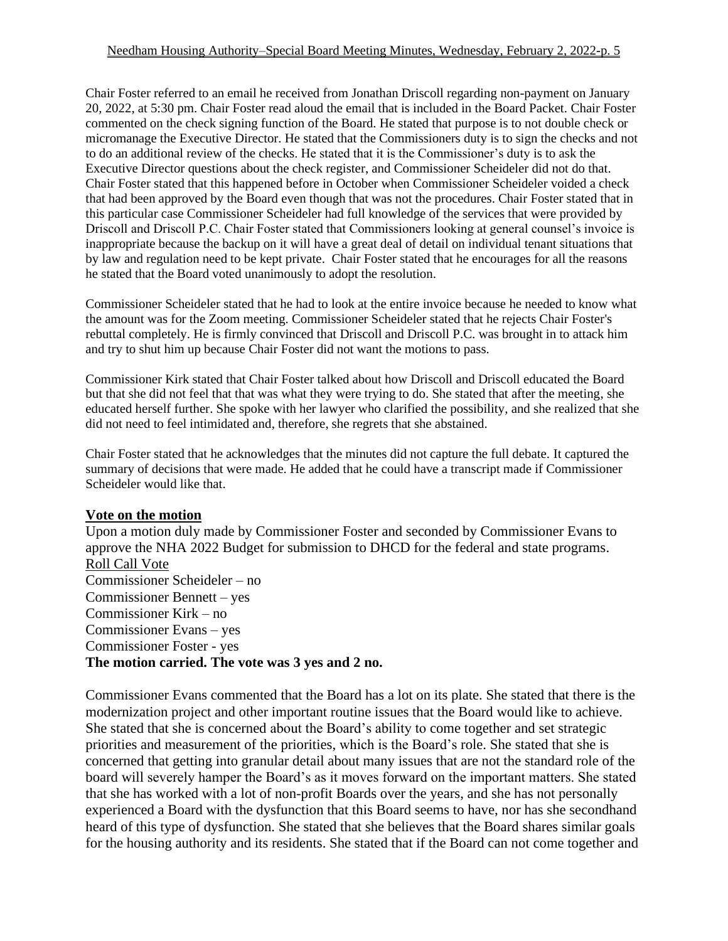#### Needham Housing Authority–Special Board Meeting Minutes, Wednesday, February 2, 2022-p. 5

Chair Foster referred to an email he received from Jonathan Driscoll regarding non-payment on January 20, 2022, at 5:30 pm. Chair Foster read aloud the email that is included in the Board Packet. Chair Foster commented on the check signing function of the Board. He stated that purpose is to not double check or micromanage the Executive Director. He stated that the Commissioners duty is to sign the checks and not to do an additional review of the checks. He stated that it is the Commissioner's duty is to ask the Executive Director questions about the check register, and Commissioner Scheideler did not do that. Chair Foster stated that this happened before in October when Commissioner Scheideler voided a check that had been approved by the Board even though that was not the procedures. Chair Foster stated that in this particular case Commissioner Scheideler had full knowledge of the services that were provided by Driscoll and Driscoll P.C. Chair Foster stated that Commissioners looking at general counsel's invoice is inappropriate because the backup on it will have a great deal of detail on individual tenant situations that by law and regulation need to be kept private. Chair Foster stated that he encourages for all the reasons he stated that the Board voted unanimously to adopt the resolution.

Commissioner Scheideler stated that he had to look at the entire invoice because he needed to know what the amount was for the Zoom meeting. Commissioner Scheideler stated that he rejects Chair Foster's rebuttal completely. He is firmly convinced that Driscoll and Driscoll P.C. was brought in to attack him and try to shut him up because Chair Foster did not want the motions to pass.

Commissioner Kirk stated that Chair Foster talked about how Driscoll and Driscoll educated the Board but that she did not feel that that was what they were trying to do. She stated that after the meeting, she educated herself further. She spoke with her lawyer who clarified the possibility, and she realized that she did not need to feel intimidated and, therefore, she regrets that she abstained.

Chair Foster stated that he acknowledges that the minutes did not capture the full debate. It captured the summary of decisions that were made. He added that he could have a transcript made if Commissioner Scheideler would like that.

#### **Vote on the motion**

Upon a motion duly made by Commissioner Foster and seconded by Commissioner Evans to approve the NHA 2022 Budget for submission to DHCD for the federal and state programs. Roll Call Vote Commissioner Scheideler – no Commissioner Bennett – yes Commissioner Kirk – no Commissioner Evans – yes Commissioner Foster - yes **The motion carried. The vote was 3 yes and 2 no.**

Commissioner Evans commented that the Board has a lot on its plate. She stated that there is the modernization project and other important routine issues that the Board would like to achieve. She stated that she is concerned about the Board's ability to come together and set strategic priorities and measurement of the priorities, which is the Board's role. She stated that she is concerned that getting into granular detail about many issues that are not the standard role of the board will severely hamper the Board's as it moves forward on the important matters. She stated that she has worked with a lot of non-profit Boards over the years, and she has not personally experienced a Board with the dysfunction that this Board seems to have, nor has she secondhand heard of this type of dysfunction. She stated that she believes that the Board shares similar goals for the housing authority and its residents. She stated that if the Board can not come together and